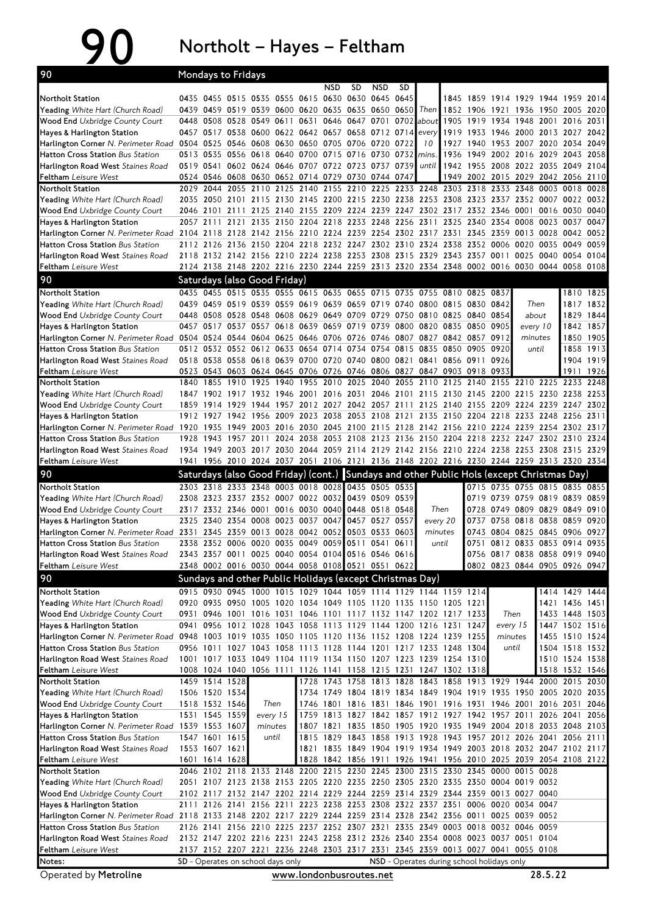## 90 Northolt – Hayes – Feltham

| 90                                                                                                                                                |           |                                  | <b>Mondays to Fridays</b> |                                          |      |                                                   |      |                     |                |      |                                                                                                                                 |                                         |                |              |                                                                |                        |                                  |              |
|---------------------------------------------------------------------------------------------------------------------------------------------------|-----------|----------------------------------|---------------------------|------------------------------------------|------|---------------------------------------------------|------|---------------------|----------------|------|---------------------------------------------------------------------------------------------------------------------------------|-----------------------------------------|----------------|--------------|----------------------------------------------------------------|------------------------|----------------------------------|--------------|
|                                                                                                                                                   |           |                                  |                           |                                          |      |                                                   | NSD  | SD                  | <b>NSD</b>     | SD   |                                                                                                                                 |                                         |                |              |                                                                |                        |                                  |              |
| Northolt Station                                                                                                                                  |           |                                  |                           |                                          |      | 0435 0455 0515 0535 0555 0615 0630 0630 0645      |      |                     |                | 0645 | 0439 0459 0519 0539 0600 0620 0635 0635 0650 0650 Then                                                                          | 1852 1906                               | 1845 1859      | 1914<br>1921 | 1929                                                           | 1944<br>1936 1950 2005 | 1959                             | 2014<br>2020 |
| <b>Yeading</b> White Hart (Church Road)<br><b>Wood End Uxbridge County Court</b>                                                                  | 0448      |                                  |                           | 0508 0528 0549 0611                      |      | 0631                                              |      | 0646 0647 0701 0702 |                |      | about                                                                                                                           | 1905                                    | 1919 1934      |              | 1948 2001 2016 2031                                            |                        |                                  |              |
| Hayes & Harlington Station                                                                                                                        |           |                                  |                           |                                          |      | 0457 0517 0538 0600 0622 0642 0657 0658 0712 0714 |      |                     |                |      | every                                                                                                                           |                                         | 1919 1933 1946 |              |                                                                | 2000 2013 2027 2042    |                                  |              |
| Harlington Corner N. Perimeter Road 0504 0525                                                                                                     |           |                                  |                           |                                          |      | 0546 0608 0630 0650 0705 0706 0720                |      |                     |                | 0722 | 10                                                                                                                              | 1927                                    | 1940           | 1953         | 2007 2020 2034                                                 |                        |                                  | 2049         |
| <b>Hatton Cross Station Bus Station</b>                                                                                                           |           |                                  |                           |                                          |      | 0513 0535 0556 0618 0640 0700 0715 0716 0730      |      |                     |                | 0732 | mins.                                                                                                                           | 1936                                    | 1949           |              | 2002 2016 2029 2043 2058                                       |                        |                                  |              |
| Harlington Road West Staines Road                                                                                                                 |           |                                  |                           |                                          |      | 0519 0541 0602 0624 0646 0707 0722 0723 0737 0739 |      |                     |                |      | until                                                                                                                           |                                         |                |              | 1942 1955 2008 2022 2035 2049 2104                             |                        |                                  |              |
| <b>Feltham</b> Leisure West                                                                                                                       |           |                                  |                           |                                          |      | 0524 0546 0608 0630 0652 0714 0729 0730 0744 0747 |      |                     |                |      |                                                                                                                                 | 1949                                    | 2002 2015      |              | 2029 2042 2056 2110                                            |                        |                                  |              |
| Northolt Station                                                                                                                                  | 2029      | 2044                             | 2055                      | 2110                                     | 2125 | 2140                                              | 2155 | 2210                | 2225           |      | 2233 2248 2303                                                                                                                  |                                         | 2318           | 2333         | 2348                                                           | 0003 0018              |                                  | 0028         |
| Yeading White Hart (Church Road)                                                                                                                  |           |                                  |                           |                                          |      |                                                   |      |                     |                |      | 2035 2050 2101 2115 2130 2145 2200 2215 2230 2238 2253 2308 2323 2337 2352 0007 0022 0032                                       |                                         |                |              |                                                                |                        |                                  |              |
| <b>Wood End</b> Uxbridge County Court                                                                                                             | 2046      | 2101                             |                           |                                          |      |                                                   |      |                     |                |      | 2111 2125 2140 2155 2209 2224 2239 2247 2302 2317 2332 2346                                                                     |                                         | 2325 2340 2354 |              | 0001<br>0008 0023 0037                                         | 0016 0030              |                                  | 0040<br>0047 |
| Hayes & Harlington Station<br>Harlington Corner N. Perimeter Road                                                                                 | 2057 2111 |                                  |                           |                                          |      | 2121 2135 2150 2204 2218 2233 2248                |      |                     |                |      | 2256 2311<br>2104 2118 2128 2142 2156 2210 2224 2239 2254 2302 2317 2331 2345 2359 0013 0028 0042 0052                          |                                         |                |              |                                                                |                        |                                  |              |
| <b>Hatton Cross Station Bus Station</b>                                                                                                           |           |                                  |                           |                                          |      |                                                   |      |                     |                |      | 2112 2126 2136 2150 2204 2218 2232 2247 2302 2310 2324 2338 2352 0006 0020 0035 0049                                            |                                         |                |              |                                                                |                        |                                  | 0059         |
| Harlington Road West Staines Road                                                                                                                 |           |                                  |                           |                                          |      |                                                   |      |                     |                |      | 2118 2132 2142 2156 2210 2224 2238 2253 2308 2315 2329 2343 2357 0011                                                           |                                         |                |              |                                                                | 0025 0040 0054         |                                  | 0104         |
| <b>Feltham</b> Leisure West                                                                                                                       |           |                                  |                           |                                          |      |                                                   |      |                     |                |      | 2124 2138 2148 2202 2216 2230 2244 2259 2313 2320 2334 2348 0002 0016 0030 0044 0058 0108                                       |                                         |                |              |                                                                |                        |                                  |              |
| 90                                                                                                                                                |           |                                  |                           | Saturdays (also Good Friday)             |      |                                                   |      |                     |                |      |                                                                                                                                 |                                         |                |              |                                                                |                        |                                  |              |
| Northolt Station                                                                                                                                  |           |                                  |                           |                                          |      |                                                   |      |                     |                |      | 0435 0455 0515 0535 0555 0615 0635 0655 0715 0735 0755 0810                                                                     |                                         | 0825 0837      |              |                                                                |                        |                                  | 1810 1825    |
| <b>Yeading</b> White Hart (Church Road)                                                                                                           |           |                                  |                           |                                          |      |                                                   |      |                     |                |      | 0439 0459 0519 0539 0559 0619 0639 0659 0719 0740 0800 0815 0830 0842                                                           |                                         |                |              | Then                                                           |                        |                                  | 1817 1832    |
| <b>Wood End Uxbridge County Court</b>                                                                                                             | 0448      |                                  |                           |                                          |      |                                                   |      |                     |                |      | 0508 0528 0548 0608 0629 0649 0709 0729 0750 0810 0825 0840 0854                                                                |                                         |                |              | about                                                          |                        | 1829                             | 1844         |
| Hayes & Harlington Station                                                                                                                        |           |                                  |                           |                                          |      | 0457 0517 0537 0557 0618 0639 0659 0719 0739      |      |                     |                |      | 0800 0820 0835 0850                                                                                                             |                                         |                | 0905         | every 10                                                       |                        | 1842 1857                        |              |
| Harlington Corner N. Perimeter Road 0504 0524 0544 0604 0625                                                                                      |           |                                  |                           |                                          |      | 0646 0706 0726 0746                               |      |                     |                |      | 0807 0827 0842 0857 0912                                                                                                        |                                         |                |              | minutes                                                        |                        | 1850                             | 1905         |
| <b>Hatton Cross Station Bus Station</b>                                                                                                           |           |                                  |                           |                                          |      |                                                   |      |                     |                |      | 0512 0532 0552 0612 0633 0654 0714 0734 0754 0815 0835 0850 0905                                                                |                                         |                | 0920         | until                                                          |                        | 1858                             | 1913         |
| Harlington Road West Staines Road                                                                                                                 |           |                                  |                           |                                          |      | 0518 0538 0558 0618 0639 0700 0720 0740 0800 0821 |      |                     |                |      | 0841                                                                                                                            | 0856 0911                               |                | 0926         |                                                                |                        |                                  | 1904 1919    |
| <b>Feltham</b> Leisure West                                                                                                                       |           |                                  |                           |                                          |      | 0523 0543 0603 0624 0645 0706 0726 0746 0806 0827 |      |                     |                |      |                                                                                                                                 | 0847 0903 0918                          |                | 0933         |                                                                |                        | 1911                             | 1926         |
| <b>Northolt Station</b><br><b>Yeading</b> White Hart (Church Road)                                                                                | 1840      | 1855                             |                           | 1910 1925                                | 1940 | 1955                                              |      | 2010 2025 2040      |                |      | 2055 2110 2125<br>1847 1902 1917 1932 1946 2001 2016 2031 2046 2101 2115 2130 2145 2200 2215 2230 2238 2253                     |                                         | 2140           |              | 2155 2210 2225 2233                                            |                        |                                  | 2248         |
| <b>Wood End</b> Uxbridge County Court                                                                                                             |           | 1859 1914                        | 1929                      | 1944                                     |      | 1957 2012 2027 2042 2057 2111                     |      |                     |                |      |                                                                                                                                 | 2125 2140 2155 2209 2224 2239 2247 2302 |                |              |                                                                |                        |                                  |              |
| Hayes & Harlington Station                                                                                                                        |           | 1912 1927                        |                           | 1942 1956 2009                           |      |                                                   |      | 2023 2038 2053 2108 |                |      | 2121 2135 2150 2204 2218                                                                                                        |                                         |                |              | 2233 2248 2256                                                 |                        |                                  | 2311         |
| Harlington Corner N. Perimeter Road 1920                                                                                                          |           | 1935                             |                           |                                          |      |                                                   |      |                     |                |      | 1949 2003 2016 2030 2045 2100 2115 2128 2142 2156 2210 2224 2239 2254 2302 2317                                                 |                                         |                |              |                                                                |                        |                                  |              |
| <b>Hatton Cross Station Bus Station</b>                                                                                                           | 1928      | 1943                             |                           | 1957 2011                                | 2024 |                                                   |      |                     |                |      | 2038 2053 2108 2123 2136 2150 2204 2218 2232 2247 2302 2310 2324                                                                |                                         |                |              |                                                                |                        |                                  |              |
| <b>Harlington Road West Staines Road</b>                                                                                                          |           |                                  |                           |                                          |      |                                                   |      |                     |                |      | 1934 1949 2003 2017 2030 2044 2059 2114 2129 2142 2156 2210 2224 2238 2253 2308 2315 2329                                       |                                         |                |              |                                                                |                        |                                  |              |
| <b>Feltham</b> Leisure West                                                                                                                       |           |                                  |                           |                                          |      |                                                   |      |                     |                |      | 1941 1956 2010 2024 2037 2051 2106 2121 2136 2148 2202 2216 2230 2244 2259 2313 2320 2334                                       |                                         |                |              |                                                                |                        |                                  |              |
| 90                                                                                                                                                |           |                                  |                           |                                          |      |                                                   |      |                     |                |      | Saturdays (also Good Friday) (cont.) Sundays and other Public Hols (except Christmas Day)                                       |                                         |                |              |                                                                |                        |                                  |              |
|                                                                                                                                                   |           |                                  |                           |                                          |      |                                                   |      |                     |                |      |                                                                                                                                 |                                         |                |              |                                                                |                        |                                  |              |
| <b>Northolt Station</b>                                                                                                                           |           | 2303 2318                        |                           |                                          |      | 2333 2348 0003 0018 0028 0435 0505 0535           |      |                     |                |      |                                                                                                                                 |                                         |                |              | 0715 0735 0755 0815 0835 0855                                  |                        |                                  |              |
| Yeading White Hart (Church Road)                                                                                                                  | 2308      |                                  |                           |                                          |      | 2323 2337 2352 0007 0022 0032                     |      |                     | 0439 0509 0539 |      |                                                                                                                                 |                                         | 0719           |              | 0739 0759 0819 0839 0859                                       |                        |                                  |              |
| <b>Wood End Uxbridge County Court</b>                                                                                                             |           |                                  |                           |                                          |      | 2317 2332 2346 0001 0016 0030 0040                |      | 0448 0518           |                | 0548 | Then                                                                                                                            |                                         | 0728           |              | 0749 0809 0829 0849 0910                                       |                        |                                  |              |
| Hayes & Harlington Station                                                                                                                        |           | 2325 2340                        |                           |                                          |      | 2354 0008 0023 0037 0047                          |      |                     | 0457 0527      | 0557 | every 20                                                                                                                        |                                         |                |              | 0737 0758 0818 0838 0859                                       |                        |                                  | 0920         |
| Harlington Corner N. Perimeter Road 2331 2345 2359 0013 0028 0042 0052                                                                            |           |                                  |                           |                                          |      |                                                   |      |                     | 0503 0533      | 0603 | minutes                                                                                                                         |                                         | 0743           |              | 0804 0825 0845 0906 0927                                       |                        |                                  |              |
| <b>Hatton Cross Station Bus Station</b>                                                                                                           |           |                                  |                           |                                          |      | 2338 2352 0006 0020 0035 0049 0059                |      |                     | 0511 0541 0611 |      | until                                                                                                                           |                                         |                |              | 0751 0812 0833 0853 0914 0935                                  |                        |                                  |              |
| Harlington Road West Staines Road<br><b>Feltham</b> Leisure West                                                                                  |           |                                  |                           |                                          |      | 2343 2357 0011 0025 0040 0054 0104 0516 0546 0616 |      |                     |                |      |                                                                                                                                 |                                         |                |              | 0756 0817 0838 0858 0919 0940<br>0802 0823 0844 0905 0926 0947 |                        |                                  |              |
|                                                                                                                                                   |           |                                  |                           |                                          |      | 2348 0002 0016 0030 0044 0058 0108 0521 0551 0622 |      |                     |                |      |                                                                                                                                 |                                         |                |              |                                                                |                        |                                  |              |
| 90                                                                                                                                                |           |                                  |                           |                                          |      |                                                   |      |                     |                |      | Sundays and other Public Holidays (except Christmas Day)<br>0915 0930 0945 1000 1015 1029 1044 1059 1114 1129 1144 1159 1214    |                                         |                |              |                                                                |                        |                                  |              |
| Northolt Station<br><b>Yeading</b> White Hart (Church Road)                                                                                       |           |                                  |                           |                                          |      |                                                   |      |                     |                |      | 0920 0935 0950 1005 1020 1034 1049 1105 1120 1135 1150 1205 1221                                                                |                                         |                |              |                                                                |                        | 1414 1429 1444<br>1421 1436 1451 |              |
| Wood End Uxbridge County Court                                                                                                                    |           |                                  |                           |                                          |      |                                                   |      |                     |                |      | 0931 0946 1001 1016 1031 1046 1101 1117 1132 1147 1202 1217 1233                                                                |                                         |                |              | Then                                                           |                        | 1433 1448 1503                   |              |
| Hayes & Harlington Station                                                                                                                        |           |                                  |                           |                                          |      |                                                   |      |                     |                |      | 0941 0956 1012 1028 1043 1058 1113 1129 1144 1200 1216 1231 1247                                                                |                                         |                |              | everv 15                                                       |                        | 1447 1502 1516                   |              |
| Harlington Corner N. Perimeter Road 0948 1003 1019 1035 1050 1105 1120 1136 1152 1208 1224 1239 1255                                              |           |                                  |                           |                                          |      |                                                   |      |                     |                |      |                                                                                                                                 |                                         |                |              | minutes                                                        |                        | 1455 1510 1524                   |              |
| Hatton Cross Station Bus Station                                                                                                                  |           |                                  |                           |                                          |      |                                                   |      |                     |                |      | 0956 1011 1027 1043 1058 1113 1128 1144 1201 1217 1233 1248 1304                                                                |                                         |                |              | until                                                          |                        | 1504 1518 1532                   |              |
| Harlington Road West Staines Road                                                                                                                 |           |                                  |                           |                                          |      |                                                   |      |                     |                |      | 1001 1017 1033 1049 1104 1119 1134 1150 1207 1223 1239 1254 1310                                                                |                                         |                |              |                                                                |                        | 1510 1524 1538                   |              |
| <b>Feltham</b> Leisure West                                                                                                                       |           |                                  |                           |                                          |      |                                                   |      |                     |                |      | 1008 1024 1040 1056 1111 1126 1141 1158 1215 1231 1247 1302 1318                                                                |                                         |                |              |                                                                |                        | 1518 1532 1546                   |              |
| Northolt Station                                                                                                                                  |           | 1459 1514 1528                   |                           |                                          |      |                                                   |      |                     |                |      | 1728 1743 1758 1813 1828 1843 1858 1913 1929 1944 2000 2015 2030                                                                |                                         |                |              |                                                                |                        |                                  |              |
| Yeading White Hart (Church Road)                                                                                                                  |           | 1506 1520 1534                   |                           | Then                                     |      |                                                   |      |                     |                |      | 1734 1749 1804 1819 1834 1849 1904 1919 1935 1950 2005 2020 2035<br>1746 1801 1816 1831 1846 1901 1916 1931 1946 2001 2016 2031 |                                         |                |              |                                                                |                        |                                  | 2046         |
| Wood End Uxbridge County Court<br>Hayes & Harlington Station                                                                                      |           | 1518 1532 1546<br>1531 1545 1559 |                           | every 15                                 |      |                                                   |      |                     |                |      | 1759 1813 1827 1842 1857 1912 1927 1942 1957 2011                                                                               |                                         |                |              |                                                                | 2026 2041              |                                  | 2056         |
| Harlington Corner N. Perimeter Road 1539 1553 1607                                                                                                |           |                                  |                           | minutes                                  |      |                                                   |      |                     |                |      | 1807 1821 1835 1850 1905 1920 1935 1949 2004 2018 2033 2048 2103                                                                |                                         |                |              |                                                                |                        |                                  |              |
| Hatton Cross Station Bus Station                                                                                                                  |           | 1547 1601 1615                   |                           | until                                    |      |                                                   |      |                     |                |      | 1815 1829 1843 1858 1913 1928 1943 1957 2012 2026 2041 2056 2111                                                                |                                         |                |              |                                                                |                        |                                  |              |
| Harlington Road West Staines Road                                                                                                                 |           | 1553 1607 1621                   |                           |                                          |      |                                                   |      |                     |                |      | 1821 1835 1849 1904 1919 1934 1949 2003 2018 2032 2047 2102 2117                                                                |                                         |                |              |                                                                |                        |                                  |              |
| <b>Feltham</b> Leisure West                                                                                                                       |           | 1601 1614 1628                   |                           |                                          |      |                                                   |      |                     |                |      | 1828 1842 1856 1911 1926 1941 1956 2010 2025 2039 2054 2108 2122                                                                |                                         |                |              |                                                                |                        |                                  |              |
| Northolt Station                                                                                                                                  |           |                                  |                           |                                          |      |                                                   |      |                     |                |      | 2046 2102 2118 2133 2148 2200 2215 2230 2245 2300 2315 2330 2345 0000 0015 0028                                                 |                                         |                |              |                                                                |                        |                                  |              |
| <b>Yeading</b> White Hart (Church Road)                                                                                                           |           |                                  |                           |                                          |      |                                                   |      |                     |                |      | 2051 2107 2123 2138 2153 2205 2220 2235 2250 2305 2320 2335 2350 0004 0019 0032                                                 |                                         |                |              |                                                                |                        |                                  |              |
| <b>Wood End</b> Uxbridge County Court                                                                                                             |           |                                  |                           |                                          |      |                                                   |      |                     |                |      | 2102 2117 2132 2147 2202 2214 2229 2244 2259 2314 2329 2344 2359 0013 0027 0040                                                 |                                         |                |              |                                                                |                        |                                  |              |
| Hayes & Harlington Station<br>Harlington Corner N. Perimeter Road 2118 2133 2148 2202 2217 2229 2244 2259 2314 2328 2342 2356 0011 0025 0039 0052 |           |                                  |                           |                                          |      |                                                   |      |                     |                |      | 2111 2126 2141 2156 2211 2223 2238 2253 2308 2322 2337 2351 0006 0020 0034 0047                                                 |                                         |                |              |                                                                |                        |                                  |              |
| <b>Hatton Cross Station Bus Station</b>                                                                                                           |           |                                  |                           |                                          |      |                                                   |      |                     |                |      | 2126 2141 2156 2210 2225 2237 2252 2307 2321 2335 2349 0003 0018 0032 0046 0059                                                 |                                         |                |              |                                                                |                        |                                  |              |
| Harlington Road West Staines Road                                                                                                                 |           |                                  |                           |                                          |      |                                                   |      |                     |                |      | 2132 2147 2202 2216 2231 2243 2258 2312 2326 2340 2354 0008 0023 0037 0051 0104                                                 |                                         |                |              |                                                                |                        |                                  |              |
| <b>Feltham</b> Leisure West                                                                                                                       |           |                                  |                           |                                          |      |                                                   |      |                     |                |      | 2137 2152 2207 2221 2236 2248 2303 2317 2331 2345 2359 0013 0027 0041 0055 0108                                                 |                                         |                |              |                                                                |                        |                                  |              |
| Notes:                                                                                                                                            |           |                                  |                           | <b>SD</b> - Operates on school days only |      |                                                   |      |                     |                |      | NSD - Operates during school holidays only                                                                                      |                                         |                |              |                                                                |                        |                                  |              |